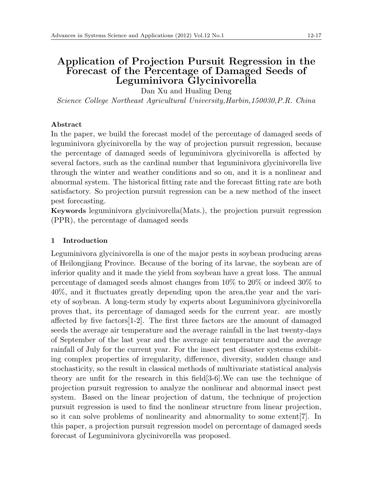# **Application of Projection Pursuit Regression in the Forecast of the Percentage of Damaged Seeds of Leguminivora Glycinivorella**

Dan Xu and Hualing Deng

*Science College Northeast Agricultural University,Harbin,150030,P.R. China*

# **Abstract**

In the paper, we build the forecast model of the percentage of damaged seeds of leguminivora glycinivorella by the way of projection pursuit regression, because the percentage of damaged seeds of leguminivora glycinivorella is affected by several factors, such as the cardinal number that leguminivora glycinivorella live through the winter and weather conditions and so on, and it is a nonlinear and abnormal system. The historical fitting rate and the forecast fitting rate are both satisfactory. So projection pursuit regression can be a new method of the insect pest forecasting.

**Keywords** leguminivora glycinivorella(Mats.), the projection pursuit regression (PPR), the percentage of damaged seeds

# **1 Introduction**

Leguminivora glycinivorella is one of the major pests in soybean producing areas of Heilongjiang Province. Because of the boring of its larvae, the soybean are of inferior quality and it made the yield from soybean have a great loss. The annual percentage of damaged seeds almost changes from 10% to 20% or indeed 30% to 40%, and it fluctuates greatly depending upon the area,the year and the variety of soybean. A long-term study by experts about Leguminivora glycinivorella proves that, its percentage of damaged seeds for the current year. are mostly affected by five factors[1-2]. The first three factors are the amount of damaged seeds the average air temperature and the average rainfall in the last twenty-days of September of the last year and the average air temperature and the average rainfall of July for the current year. For the insect pest disaster systems exhibiting complex properties of irregularity, difference, diversity, sudden change and stochasticity, so the result in classical methods of multivariate statistical analysis theory are unfit for the research in this field[3-6].We can use the technique of projection pursuit regression to analyze the nonlinear and abnormal insect pest system. Based on the linear projection of datum, the technique of projection pursuit regression is used to find the nonlinear structure from linear projection, so it can solve problems of nonlinearity and abnormality to some extent[7]. In this paper, a projection pursuit regression model on percentage of damaged seeds forecast of Leguminivora glycinivorella was proposed.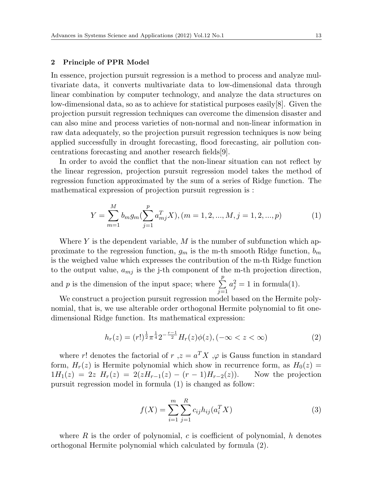#### **2 Principle of PPR Model**

In essence, projection pursuit regression is a method to process and analyze multivariate data, it converts multivariate data to low-dimensional data through linear combination by computer technology, and analyze the data structures on low-dimensional data, so as to achieve for statistical purposes easily[8]. Given the projection pursuit regression techniques can overcome the dimension disaster and can also mine and process varieties of non-normal and non-linear information in raw data adequately, so the projection pursuit regression techniques is now being applied successfully in drought forecasting, flood forecasting, air pollution concentrations forecasting and another research fields[9].

In order to avoid the conflict that the non-linear situation can not reflect by the linear regression, projection pursuit regression model takes the method of regression function approximated by the sum of a series of Ridge function. The mathematical expression of projection pursuit regression is :

$$
Y = \sum_{m=1}^{M} b_m g_m(\sum_{j=1}^{p} a_{mj}^T X), (m = 1, 2, ..., M, j = 1, 2, ..., p)
$$
 (1)

Where *Y* is the dependent variable, *M* is the number of subfunction which approximate to the regression function,  $g_m$  is the m-th smooth Ridge function,  $b_m$ is the weighed value which expresses the contribution of the m-th Ridge function to the output value, *amj* is the j-th component of the m-th projection direction, and *p* is the dimension of the input space; where  $\sum_{n=1}^{p}$  $a_j^2 = 1$  in formula(1).

We construct a projection pursuit regression model based on the Hermite polynomial, that is, we use alterable order orthogonal Hermite polynomial to fit onedimensional Ridge function. Its mathematical expression:

$$
h_r(z) = (r!)^{\frac{1}{2}} \pi^{\frac{1}{4}} 2^{-\frac{r-1}{2}} H_r(z) \phi(z), (-\infty < z < \infty)
$$
 (2)

*j*=1

where *r*! denotes the factorial of *r*,  $z = a^T X$ ,  $\varphi$  is Gauss function in standard form,  $H_r(z)$  is Hermite polynomial which show in recurrence form, as  $H_0(z)$  =  $1H_1(z) = 2z$   $H_r(z) = 2(zH_{r-1}(z) - (r-1)H_{r-2}(z)).$  Now the projection pursuit regression model in formula (1) is changed as follow:

$$
f(X) = \sum_{i=1}^{m} \sum_{j=1}^{R} c_{ij} h_{ij}(a_i^T X)
$$
 (3)

where *R* is the order of polynomial, *c* is coefficient of polynomial, *h* denotes orthogonal Hermite polynomial which calculated by formula (2).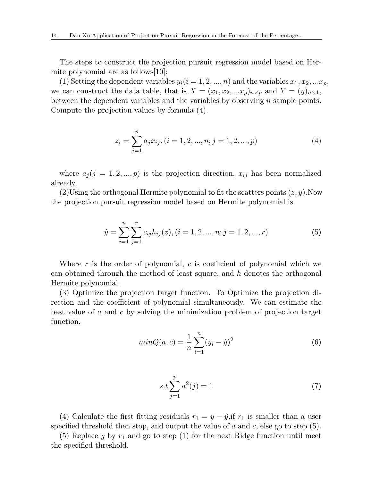The steps to construct the projection pursuit regression model based on Hermite polynomial are as follows[10]:

(1) Setting the dependent variables  $y_i(i = 1, 2, ..., n)$  and the variables  $x_1, x_2, ... x_p$ , we can construct the data table, that is  $X = (x_1, x_2, ...x_p)_{n \times p}$  and  $Y = (y)_{n \times 1}$ , between the dependent variables and the variables by observing *n* sample points. Compute the projection values by formula (4).

$$
z_i = \sum_{j=1}^p a_j x_{ij}, (i = 1, 2, ..., n; j = 1, 2, ..., p)
$$
 (4)

where  $a_j$  ( $j = 1, 2, ..., p$ ) is the projection direction,  $x_{ij}$  has been normalized already.

(2)Using the orthogonal Hermite polynomial to fit the scatters points (*z, y*).Now the projection pursuit regression model based on Hermite polynomial is

$$
\hat{y} = \sum_{i=1}^{n} \sum_{j=1}^{r} c_{ij} h_{ij}(z), (i = 1, 2, ..., n; j = 1, 2, ..., r)
$$
\n(5)

Where *r* is the order of polynomial, *c* is coefficient of polynomial which we can obtained through the method of least square, and *h* denotes the orthogonal Hermite polynomial.

(3) Optimize the projection target function. To Optimize the projection direction and the coefficient of polynomial simultaneously. We can estimate the best value of *a* and *c* by solving the minimization problem of projection target function.

$$
minQ(a, c) = \frac{1}{n} \sum_{i=1}^{n} (y_i - \hat{y})^2
$$
\n(6)

$$
s.t \sum_{j=1}^{p} a^2(j) = 1 \tag{7}
$$

(4) Calculate the first fitting residuals  $r_1 = y - \hat{y}$ , if  $r_1$  is smaller than a user specified threshold then stop, and output the value of *a* and *c*, else go to step (5).

(5) Replace *y* by  $r_1$  and go to step (1) for the next Ridge function until meet the specified threshold.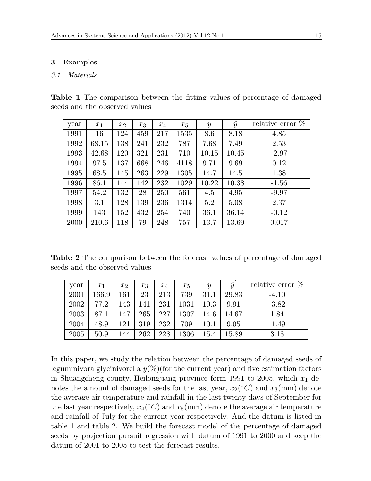#### **3 Examples**

#### *3.1 Materials*

**Table 1** The comparison between the fitting values of percentage of damaged seeds and the observed values

| year | $x_1$ | $x_2$ | $x_3$ | $x_4$ | $x_5$ | $\boldsymbol{y}$ | $\hat{y}$ | relative error $\%$ |
|------|-------|-------|-------|-------|-------|------------------|-----------|---------------------|
| 1991 | 16    | 124   | 459   | 217   | 1535  | 8.6              | 8.18      | 4.85                |
| 1992 | 68.15 | 138   | 241   | 232   | 787   | 7.68             | 7.49      | 2.53                |
| 1993 | 42.68 | 120   | 321   | 231   | 710   | 10.15            | 10.45     | $-2.97$             |
| 1994 | 97.5  | 137   | 668   | 246   | 4118  | 9.71             | 9.69      | 0.12                |
| 1995 | 68.5  | 145   | 263   | 229   | 1305  | 14.7             | 14.5      | 1.38                |
| 1996 | 86.1  | 144   | 142   | 232   | 1029  | 10.22            | 10.38     | $-1.56$             |
| 1997 | 54.2  | 132   | 28    | 250   | 561   | 4.5              | 4.95      | $-9.97$             |
| 1998 | 3.1   | 128   | 139   | 236   | 1314  | 5.2              | 5.08      | 2.37                |
| 1999 | 143   | 152   | 432   | 254   | 740   | 36.1             | 36.14     | $-0.12$             |
| 2000 | 210.6 | 118   | 79    | 248   | 757   | 13.7             | 13.69     | 0.017               |

**Table 2** The comparison between the forecast values of percentage of damaged seeds and the observed values

| year | $x_1$     | $x_2$ | $x_3$ | $x_4$ | $x_5$ | Y        | $\hat{y}$ | relative error $\%$ |
|------|-----------|-------|-------|-------|-------|----------|-----------|---------------------|
| 2001 | $166.9\,$ | 161   | 23    | 213   | 739   | 31.1     | 29.83     | $-4.10$             |
| 2002 | 77.2      | 143   | 141   | 231   | 1031  | $10.3\,$ | 9.91      | $-3.82$             |
| 2003 | 87.1      | 147   | 265   | 227   | 1307  | 14.6     | 14.67     | 1.84                |
| 2004 | 48.9      | 121   | 319   | 232   | 709   | 10.1     | 9.95      | $-1.49$             |
| 2005 | 50.9      | 144   | 262   | 228   | 1306  | 15.4     | 15.89     | 3.18                |

In this paper, we study the relation between the percentage of damaged seeds of leguminivora glycinivorella  $y(\%)$  (for the current year) and five estimation factors in Shuangcheng county, Heilongjiang province form 1991 to 2005, which  $x_1$  denotes the amount of damaged seeds for the last year,  $x_2$ <sup>°</sup> $C$ <sup> $\alpha$ </sup> and  $x_3$ <sup> $\text{(mm)}$ </sup> denote the average air temperature and rainfall in the last twenty-days of September for the last year respectively,  $x_4 (°C)$  and  $x_5 (mm)$  denote the average air temperature and rainfall of July for the current year respectively. And the datum is listed in table 1 and table 2. We build the forecast model of the percentage of damaged seeds by projection pursuit regression with datum of 1991 to 2000 and keep the datum of 2001 to 2005 to test the forecast results.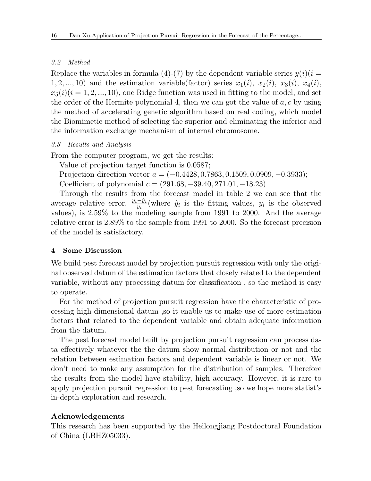### *3.2 Method*

Replace the variables in formula (4)-(7) by the dependent variable series  $y(i)(i =$ 1, 2, ..., 10) and the estimation variable(factor) series  $x_1(i)$ ,  $x_2(i)$ ,  $x_3(i)$ ,  $x_4(i)$ ,  $x_5(i)(i = 1, 2, \ldots, 10)$ , one Ridge function was used in fitting to the model, and set the order of the Hermite polynomial 4, then we can got the value of *a, c* by using the method of accelerating genetic algorithm based on real coding, which model the Biomimetic method of selecting the superior and eliminating the inferior and the information exchange mechanism of internal chromosome.

## *3.3 Results and Analysis*

From the computer program, we get the results:

Value of projection target function is 0.0587;

Projection direction vector *a* = (*−*0*.*4428*,* 0*.*7863*,* 0*.*1509*,* 0*.*0909*, −*0*.*3933); Coefficient of polynomial *c* = (291*.*68*, −*39*.*40*,* 271*.*01*, −*18*.*23)

Through the results from the forecast model in table 2 we can see that the average relative error,  $\frac{y_i - \hat{y}_i}{y_i}$  (where  $\hat{y}_i$  is the fitting values,  $y_i$  is the observed values), is 2.59% to the modeling sample from 1991 to 2000. And the average relative error is 2.89% to the sample from 1991 to 2000. So the forecast precision of the model is satisfactory.

#### **4 Some Discussion**

We build pest forecast model by projection pursuit regression with only the original observed datum of the estimation factors that closely related to the dependent variable, without any processing datum for classification , so the method is easy to operate.

For the method of projection pursuit regression have the characteristic of processing high dimensional datum ,so it enable us to make use of more estimation factors that related to the dependent variable and obtain adequate information from the datum.

The pest forecast model built by projection pursuit regression can process data effectively whatever the the datum show normal distribution or not and the relation between estimation factors and dependent variable is linear or not. We don't need to make any assumption for the distribution of samples. Therefore the results from the model have stability, high accuracy. However, it is rare to apply projection pursuit regression to pest forecasting ,so we hope more statist's in-depth exploration and research.

## **Acknowledgements**

This research has been supported by the Heilongjiang Postdoctoral Foundation of China (LBHZ05033).